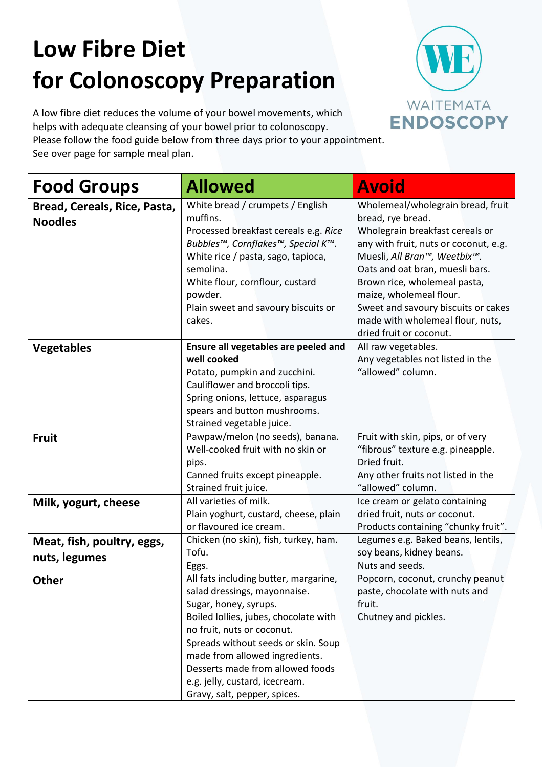# **Low Fibre Diet for Colonoscopy Preparation**

A low fibre diet reduces the volume of your bowel movements, which helps with adequate cleansing of your bowel prior to colonoscopy.

Please follow the food guide below from three days prior to your appointment. See over page for sample meal plan.

| <b>Food Groups</b>                             | <b>Allowed</b>                                                                                                                                                                                                                                                                                                                                       | <b>Avoid</b>                                                                                                                                                                                                                                                                                                                                                           |
|------------------------------------------------|------------------------------------------------------------------------------------------------------------------------------------------------------------------------------------------------------------------------------------------------------------------------------------------------------------------------------------------------------|------------------------------------------------------------------------------------------------------------------------------------------------------------------------------------------------------------------------------------------------------------------------------------------------------------------------------------------------------------------------|
| Bread, Cereals, Rice, Pasta,<br><b>Noodles</b> | White bread / crumpets / English<br>muffins.<br>Processed breakfast cereals e.g. Rice<br>Bubbles™, Cornflakes™, Special K™.<br>White rice / pasta, sago, tapioca,<br>semolina.<br>White flour, cornflour, custard<br>powder.<br>Plain sweet and savoury biscuits or<br>cakes.                                                                        | Wholemeal/wholegrain bread, fruit<br>bread, rye bread.<br>Wholegrain breakfast cereals or<br>any with fruit, nuts or coconut, e.g.<br>Muesli, All Bran™, Weetbix™.<br>Oats and oat bran, muesli bars.<br>Brown rice, wholemeal pasta,<br>maize, wholemeal flour.<br>Sweet and savoury biscuits or cakes<br>made with wholemeal flour, nuts,<br>dried fruit or coconut. |
| <b>Vegetables</b>                              | Ensure all vegetables are peeled and<br>well cooked<br>Potato, pumpkin and zucchini.<br>Cauliflower and broccoli tips.<br>Spring onions, lettuce, asparagus<br>spears and button mushrooms.<br>Strained vegetable juice.                                                                                                                             | All raw vegetables.<br>Any vegetables not listed in the<br>"allowed" column.                                                                                                                                                                                                                                                                                           |
| <b>Fruit</b>                                   | Pawpaw/melon (no seeds), banana.<br>Well-cooked fruit with no skin or<br>pips.<br>Canned fruits except pineapple.<br>Strained fruit juice.                                                                                                                                                                                                           | Fruit with skin, pips, or of very<br>"fibrous" texture e.g. pineapple.<br>Dried fruit.<br>Any other fruits not listed in the<br>"allowed" column.                                                                                                                                                                                                                      |
| Milk, yogurt, cheese                           | All varieties of milk.<br>Plain yoghurt, custard, cheese, plain<br>or flavoured ice cream.                                                                                                                                                                                                                                                           | Ice cream or gelato containing<br>dried fruit, nuts or coconut.<br>Products containing "chunky fruit".                                                                                                                                                                                                                                                                 |
| Meat, fish, poultry, eggs,<br>nuts, legumes    | Chicken (no skin), fish, turkey, ham.<br>Tofu.<br>Eggs.                                                                                                                                                                                                                                                                                              | Legumes e.g. Baked beans, lentils,<br>soy beans, kidney beans.<br>Nuts and seeds.                                                                                                                                                                                                                                                                                      |
| <b>Other</b>                                   | All fats including butter, margarine,<br>salad dressings, mayonnaise.<br>Sugar, honey, syrups.<br>Boiled lollies, jubes, chocolate with<br>no fruit, nuts or coconut.<br>Spreads without seeds or skin. Soup<br>made from allowed ingredients.<br>Desserts made from allowed foods<br>e.g. jelly, custard, icecream.<br>Gravy, salt, pepper, spices. | Popcorn, coconut, crunchy peanut<br>paste, chocolate with nuts and<br>fruit.<br>Chutney and pickles.                                                                                                                                                                                                                                                                   |